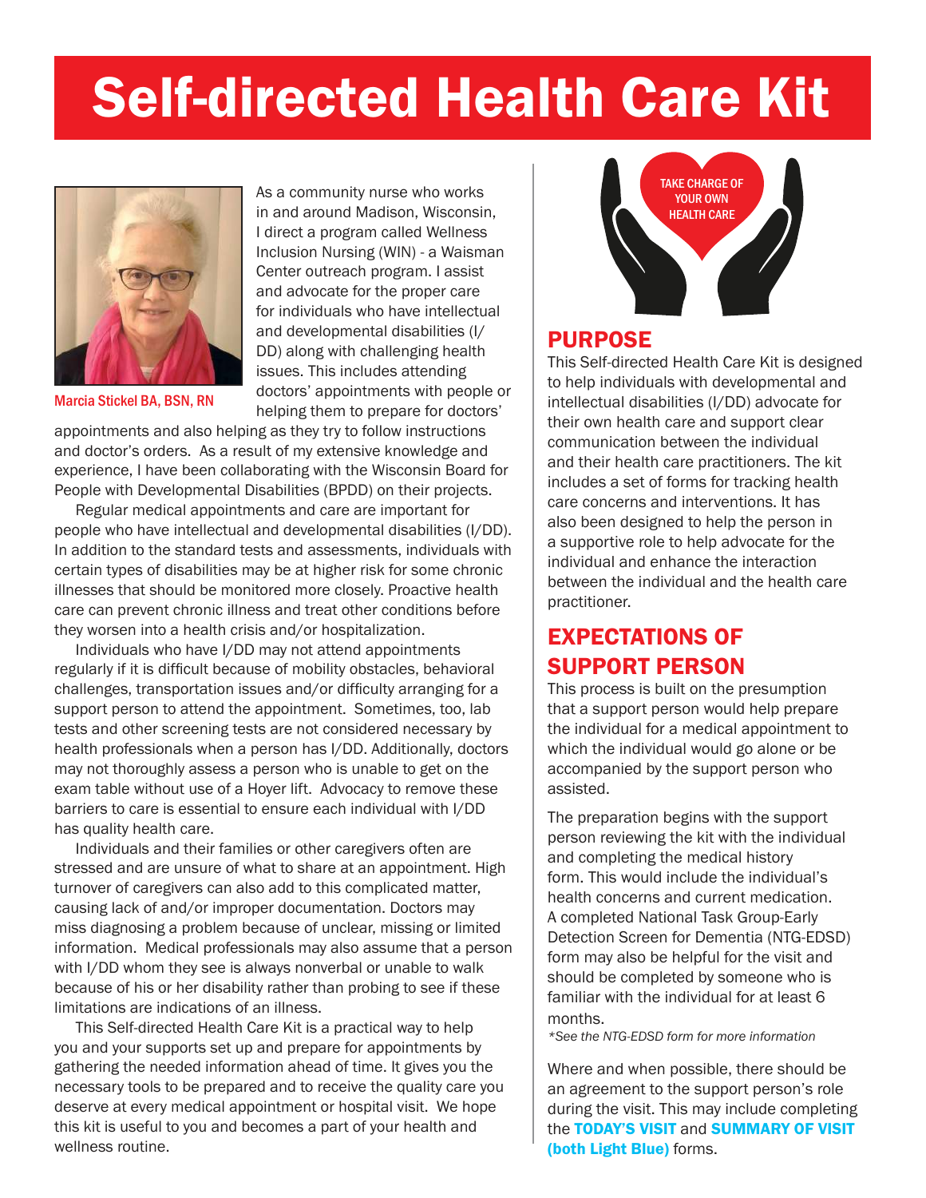# Self-directed Health Care Kit



Marcia Stickel BA, BSN, RN

As a community nurse who works in and around Madison, Wisconsin, I direct a program called Wellness Inclusion Nursing (WIN) - a Waisman Center outreach program. I assist and advocate for the proper care for individuals who have intellectual and developmental disabilities (I/ DD) along with challenging health issues. This includes attending doctors' appointments with people or helping them to prepare for doctors'

appointments and also helping as they try to follow instructions and doctor's orders. As a result of my extensive knowledge and experience, I have been collaborating with the Wisconsin Board for People with Developmental Disabilities (BPDD) on their projects.

 Regular medical appointments and care are important for people who have intellectual and developmental disabilities (I/DD). In addition to the standard tests and assessments, individuals with certain types of disabilities may be at higher risk for some chronic illnesses that should be monitored more closely. Proactive health care can prevent chronic illness and treat other conditions before they worsen into a health crisis and/or hospitalization.

 Individuals who have I/DD may not attend appointments regularly if it is difficult because of mobility obstacles, behavioral challenges, transportation issues and/or difficulty arranging for a support person to attend the appointment. Sometimes, too, lab tests and other screening tests are not considered necessary by health professionals when a person has I/DD. Additionally, doctors may not thoroughly assess a person who is unable to get on the exam table without use of a Hoyer lift. Advocacy to remove these barriers to care is essential to ensure each individual with I/DD has quality health care.

 Individuals and their families or other caregivers often are stressed and are unsure of what to share at an appointment. High turnover of caregivers can also add to this complicated matter, causing lack of and/or improper documentation. Doctors may miss diagnosing a problem because of unclear, missing or limited information. Medical professionals may also assume that a person with I/DD whom they see is always nonverbal or unable to walk because of his or her disability rather than probing to see if these limitations are indications of an illness.

 This Self-directed Health Care Kit is a practical way to help you and your supports set up and prepare for appointments by gathering the needed information ahead of time. It gives you the necessary tools to be prepared and to receive the quality care you deserve at every medical appointment or hospital visit. We hope this kit is useful to you and becomes a part of your health and wellness routine.



### PURPOSE

This Self-directed Health Care Kit is designed to help individuals with developmental and intellectual disabilities (I/DD) advocate for their own health care and support clear communication between the individual and their health care practitioners. The kit includes a set of forms for tracking health care concerns and interventions. It has also been designed to help the person in a supportive role to help advocate for the individual and enhance the interaction between the individual and the health care practitioner.

### EXPECTATIONS OF SUPPORT PERSON

This process is built on the presumption that a support person would help prepare the individual for a medical appointment to which the individual would go alone or be accompanied by the support person who assisted.

The preparation begins with the support person reviewing the kit with the individual and completing the medical history form. This would include the individual's health concerns and current medication. A completed National Task Group-Early Detection Screen for Dementia (NTG-EDSD) form may also be helpful for the visit and should be completed by someone who is familiar with the individual for at least 6 months.

*\*See the NTG-EDSD form for more information*

Where and when possible, there should be an agreement to the support person's role during the visit. This may include completing the TODAY'S VISIT and SUMMARY OF VISIT (both Light Blue) forms.